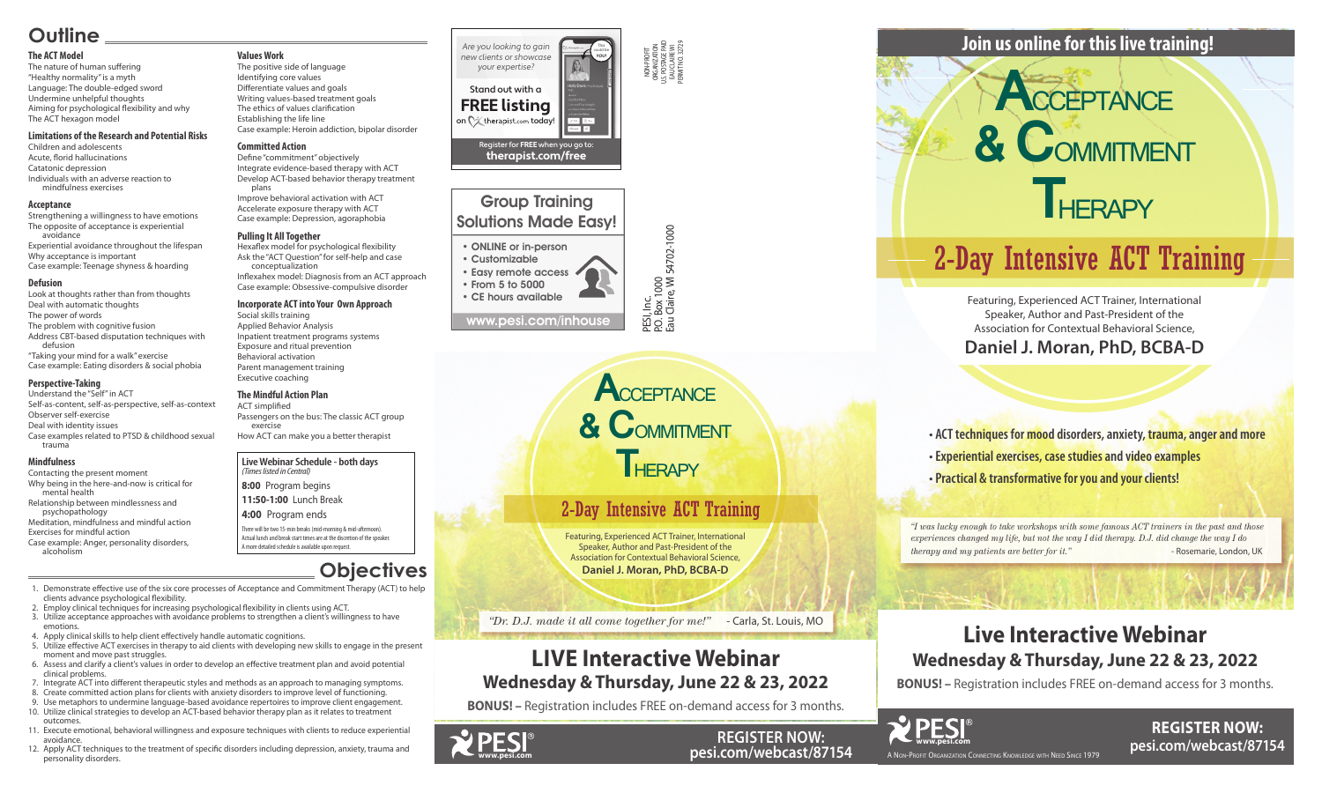NON-PROFIT ORGANIZATION U.S. POSTAGE PAID EAU CLAIRE WI PERMIT NO. 32729

Eau Claire, WI 54702-1000

## Group Training Solutions Made Easy!

#### • ONLINE or in-person



• Customizable • Easy remote access • From 5 to 5000

• CE hours available

#### **Live Webinar Schedule - both days** *(Times listed in Central)*

**8:00** Program begins

**11:50-1:00** Lunch Break

#### **4:00** Program ends

There will be two 15-min breaks (mid-morning & mid-afternoon). Actual lunch and break start times are at the discretion of the speaker. A more detailed schedule is available upon request.

*"I was lucky enough to take workshops with some famous ACT trainers in the past and those experiences changed my life, but not the way I did therapy. D.J. did change the way I do therapy and my patients are better for it."* - Rosemarie, London, UK

A Non-Profit Organization Connecting Knowledge with Need Since 1979



**REGISTER NOW: pesi.com/webcast/87154**

**• ACT techniques for mood disorders, anxiety, trauma, anger and more • Experiential exercises, case studies and video examples • Practical & transformative for you and your clients!**

Featuring, Experienced ACT Trainer, International Speaker, Author and Past-President of the Association for Contextual Behavioral Science,

**Daniel J. Moran, PhD, BCBA-D**

# **Join us online for this live training!**

# **Live Interactive Webinar Wednesday & Thursday, June 22 & 23, 2022**

**BONUS! –** Registration includes FREE on-demand access for 3 months.



**REGISTER NOW: pesi.com/webcast/87154**



Featuring, Experienced ACT Trainer, International Speaker, Author and Past-President of the Association for Contextual Behavioral Science, **Daniel J. Moran, PhD, BCBA-D**

*"Dr. D.J. made it all come together for me!"* - Carla, St. Louis, MO

# **LIVE Interactive Webinar Wednesday & Thursday, June 22 & 23, 2022**

**BONUS! –** Registration includes FREE on-demand access for 3 months.

# **Outline**

#### **The ACT Model**

The nature of human suffering "Healthy normality" is a myth Language: The double-edged sword Undermine unhelpful thoughts Aiming for psychological flexibility and why The ACT hexagon model

#### **Limitations of the Research and Potential Risks**

Children and adolescents Acute, florid hallucinations Catatonic depression Individuals with an adverse reaction to mindfulness exercises

#### **Acceptance**

Strengthening a willingness to have emotions The opposite of acceptance is experiential avoidance Experiential avoidance throughout the lifespan Why acceptance is important Case example: Teenage shyness & hoarding

#### **Defusion**

Look at thoughts rather than from thoughts Deal with automatic thoughts The power of words The problem with cognitive fusion Address CBT-based disputation techniques with defusion

"Taking your mind for a walk" exercise Case example: Eating disorders & social phobia

#### **Perspective-Taking**

Understand the "Self" in ACT Self-as-content, self-as-perspective, self-as-context Observer self-exercise Deal with identity issues Case examples related to PTSD & childhood sexual trauma

Stand out with a **FREE listing** on  $\bigcirc \times$  therapist.com today!

> **A**CCEPTANCE **& C**OMMITMENT **THERAPY**

#### **Mindfulness**

Contacting the present moment Why being in the here-and-now is critical for mental health

Relationship between mindlessness and psychopathology

Meditation, mindfulness and mindful action Exercises for mindful action

Case example: Anger, personality disorders, alcoholism

**Values Work** The positive side of language Identifying core values Differentiate values and goals

Writing values-based treatment goals The ethics of values clarification Establishing the life line Case example: Heroin addiction, bipolar disorder

#### **Committed Action**

Define "commitment" objectively Integrate evidence-based therapy with ACT Develop ACT-based behavior therapy treatment plans

Improve behavioral activation with ACT Accelerate exposure therapy with ACT Case example: Depression, agoraphobia

#### **Pulling It All Together**

Hexaflex model for psychological flexibility Ask the "ACT Question" for self-help and case conceptualization

Inflexahex model: Diagnosis from an ACT approach Case example: Obsessive-compulsive disorder

#### **Incorporate ACT into Your Own Approach**

Social skills training Applied Behavior Analysis Inpatient treatment programs systems Exposure and ritual prevention Behavioral activation Parent management training Executive coaching

#### **The Mindful Action Plan**

ACT simplified Passengers on the bus: The classic ACT group exercise

How ACT can make you a better therapist

# **Objectives**

 1. Demonstrate effective use of the six core processes of Acceptance and Commitment Therapy (ACT) to help clients advance psychological flexibility.

- 2. Employ clinical techniques for increasing psychological flexibility in clients using ACT.
- 3. Utilize acceptance approaches with avoidance problems to strengthen a client's willingness to have emotions.
- 4. Apply clinical skills to help client effectively handle automatic cognitions.
- 5. Utilize effective ACT exercises in therapy to aid clients with developing new skills to engage in the present moment and move past struggles.
- 6. Assess and clarify a client's values in order to develop an effective treatment plan and avoid potential clinical problems.
- 7. Integrate ACT into different therapeutic styles and methods as an approach to managing symptoms.
- 8. Create committed action plans for clients with anxiety disorders to improve level of functioning.
- 9. Use metaphors to undermine language-based avoidance repertoires to improve client engagement. 10. Utilize clinical strategies to develop an ACT-based behavior therapy plan as it relates to treatment outcomes.
- 11. Execute emotional, behavioral willingness and exposure techniques with clients to reduce experiential avoidance.
- 12. Apply ACT techniques to the treatment of specific disorders including depression, anxiety, trauma and personality disorders.

#### Are you looking to gain new clients or showcase your expertise?

This could be **YOU!**

Register for **FREE** when you go to: **therapist.com/free**

# 2-Day Intensive ACT Training



# 2-Day Intensive ACT Training